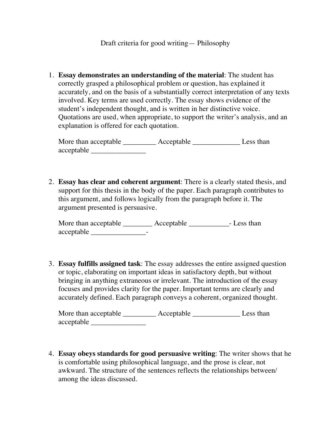1. **Essay demonstrates an understanding of the material**: The student has correctly grasped a philosophical problem or question, has explained it accurately, and on the basis of a substantially correct interpretation of any texts involved. Key terms are used correctly. The essay shows evidence of the student's independent thought, and is written in her distinctive voice. Quotations are used, when appropriate, to support the writer's analysis, and an explanation is offered for each quotation.

More than acceptable \_\_\_\_\_\_\_\_\_\_ Acceptable \_\_\_\_\_\_\_\_\_\_\_\_\_\_\_\_ Less than acceptable \_\_\_\_\_\_\_\_\_\_\_\_\_\_\_

2. **Essay has clear and coherent argument**: There is a clearly stated thesis, and support for this thesis in the body of the paper. Each paragraph contributes to this argument, and follows logically from the paragraph before it. The argument presented is persuasive.

More than acceptable **Acceptable** Acceptable **Acceptable Acceptable Acceptable Acceptable Acceptable Acceptable Acceptable Acceptable Acceptable Acceptable Acceptable Acceptable Acceptable Accepta** acceptable \_\_\_\_\_\_\_\_\_\_\_\_\_\_\_-

3. **Essay fulfills assigned task**: The essay addresses the entire assigned question or topic, elaborating on important ideas in satisfactory depth, but without bringing in anything extraneous or irrelevant. The introduction of the essay focuses and provides clarity for the paper. Important terms are clearly and accurately defined. Each paragraph conveys a coherent, organized thought.

More than acceptable \_\_\_\_\_\_\_\_\_\_\_ Acceptable \_\_\_\_\_\_\_\_\_\_\_\_\_\_\_\_\_ Less than acceptable \_\_\_\_\_\_\_\_\_\_\_\_\_\_\_

4. **Essay obeys standards for good persuasive writing**: The writer shows that he is comfortable using philosophical language, and the prose is clear, not awkward. The structure of the sentences reflects the relationships between/ among the ideas discussed.